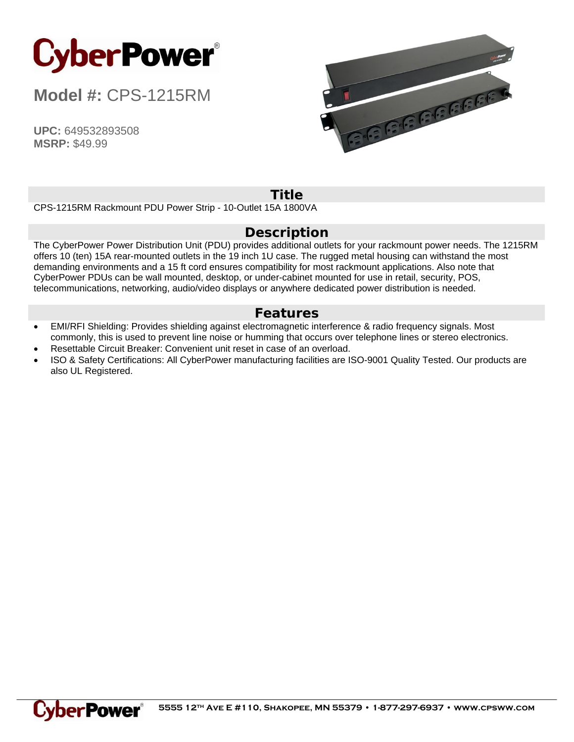

**Model #:** CPS-1215RM

**UPC:** 649532893508 **MSRP:** \$49.99



## **Title**

CPS-1215RM Rackmount PDU Power Strip - 10-Outlet 15A 1800VA

## **Description**

The CyberPower Power Distribution Unit (PDU) provides additional outlets for your rackmount power needs. The 1215RM offers 10 (ten) 15A rear-mounted outlets in the 19 inch 1U case. The rugged metal housing can withstand the most demanding environments and a 15 ft cord ensures compatibility for most rackmount applications. Also note that CyberPower PDUs can be wall mounted, desktop, or under-cabinet mounted for use in retail, security, POS, telecommunications, networking, audio/video displays or anywhere dedicated power distribution is needed.

## **Features**

- EMI/RFI Shielding: Provides shielding against electromagnetic interference & radio frequency signals. Most commonly, this is used to prevent line noise or humming that occurs over telephone lines or stereo electronics.
- Resettable Circuit Breaker: Convenient unit reset in case of an overload.
- ISO & Safety Certifications: All CyberPower manufacturing facilities are ISO-9001 Quality Tested. Our products are also UL Registered.